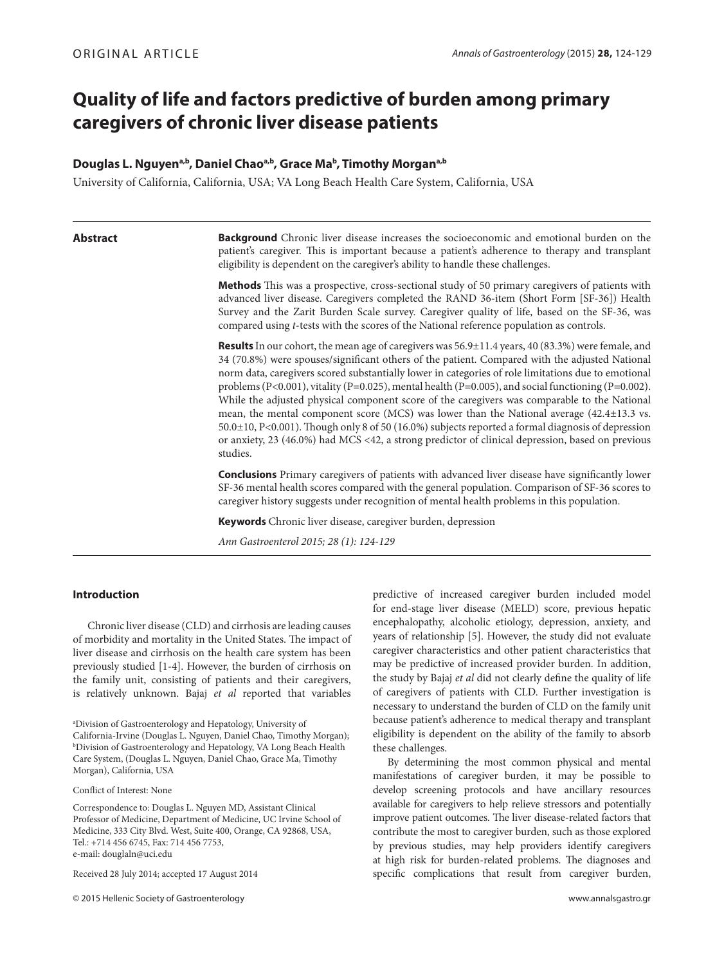# **Quality of life and factors predictive of burden among primary caregivers of chronic liver disease patients**

# **Douglas L. Nguyena,b, Daniel Chaoa,b, Grace Mab , Timothy Morgana,b**

University of California, California, USA; VA Long Beach Health Care System, California, USA

**Abstract Background** Chronic liver disease increases the socioeconomic and emotional burden on the patient's caregiver. This is important because a patient's adherence to therapy and transplant eligibility is dependent on the caregiver's ability to handle these challenges.

> **Methods** This was a prospective, cross-sectional study of 50 primary caregivers of patients with advanced liver disease. Caregivers completed the RAND 36-item (Short Form [SF-36]) Health Survey and the Zarit Burden Scale survey. Caregiver quality of life, based on the SF-36, was compared using *t*-tests with the scores of the National reference population as controls.

> **Results** In our cohort, the mean age of caregivers was 56.9±11.4 years, 40 (83.3%) were female, and 34 (70.8%) were spouses/significant others of the patient. Compared with the adjusted National norm data, caregivers scored substantially lower in categories of role limitations due to emotional problems (P<0.001), vitality (P=0.025), mental health (P=0.005), and social functioning (P=0.002). While the adjusted physical component score of the caregivers was comparable to the National mean, the mental component score (MCS) was lower than the National average (42.4±13.3 vs. 50.0±10, P<0.001). Though only 8 of 50 (16.0%) subjects reported a formal diagnosis of depression or anxiety, 23 (46.0%) had MCS <42, a strong predictor of clinical depression, based on previous studies.

> **Conclusions** Primary caregivers of patients with advanced liver disease have significantly lower SF-36 mental health scores compared with the general population. Comparison of SF-36 scores to caregiver history suggests under recognition of mental health problems in this population.

**Keywords** Chronic liver disease, caregiver burden, depression

*Ann Gastroenterol 2015; 28 (1): 124-129*

# **Introduction**

Chronic liver disease (CLD) and cirrhosis are leading causes of morbidity and mortality in the United States. The impact of liver disease and cirrhosis on the health care system has been previously studied [1-4]. However, the burden of cirrhosis on the family unit, consisting of patients and their caregivers, is relatively unknown. Bajaj *et al* reported that variables

a Division of Gastroenterology and Hepatology, University of California-Irvine (Douglas L. Nguyen, Daniel Chao, Timothy Morgan); b Division of Gastroenterology and Hepatology, VA Long Beach Health Care System, (Douglas L. Nguyen, Daniel Chao, Grace Ma, Timothy Morgan), California, USA

Conflict of Interest: None

Correspondence to: Douglas L. Nguyen MD, Assistant Clinical Professor of Medicine, Department of Medicine, UC Irvine School of Medicine, 333 City Blvd. West, Suite 400, Orange, CA 92868, USA, Tel.: +714 456 6745, Fax: 714 456 7753, e-mail: douglaln@uci.edu

Received 28 July 2014; accepted 17 August 2014

© 2015 Hellenic Society of Gastroenterology www.annalsgastro.gr

predictive of increased caregiver burden included model for end-stage liver disease (MELD) score, previous hepatic encephalopathy, alcoholic etiology, depression, anxiety, and years of relationship [5]. However, the study did not evaluate caregiver characteristics and other patient characteristics that may be predictive of increased provider burden. In addition, the study by Bajaj *et al* did not clearly define the quality of life of caregivers of patients with CLD. Further investigation is necessary to understand the burden of CLD on the family unit because patient's adherence to medical therapy and transplant eligibility is dependent on the ability of the family to absorb these challenges.

By determining the most common physical and mental manifestations of caregiver burden, it may be possible to develop screening protocols and have ancillary resources available for caregivers to help relieve stressors and potentially improve patient outcomes. The liver disease-related factors that contribute the most to caregiver burden, such as those explored by previous studies, may help providers identify caregivers at high risk for burden-related problems. The diagnoses and specific complications that result from caregiver burden,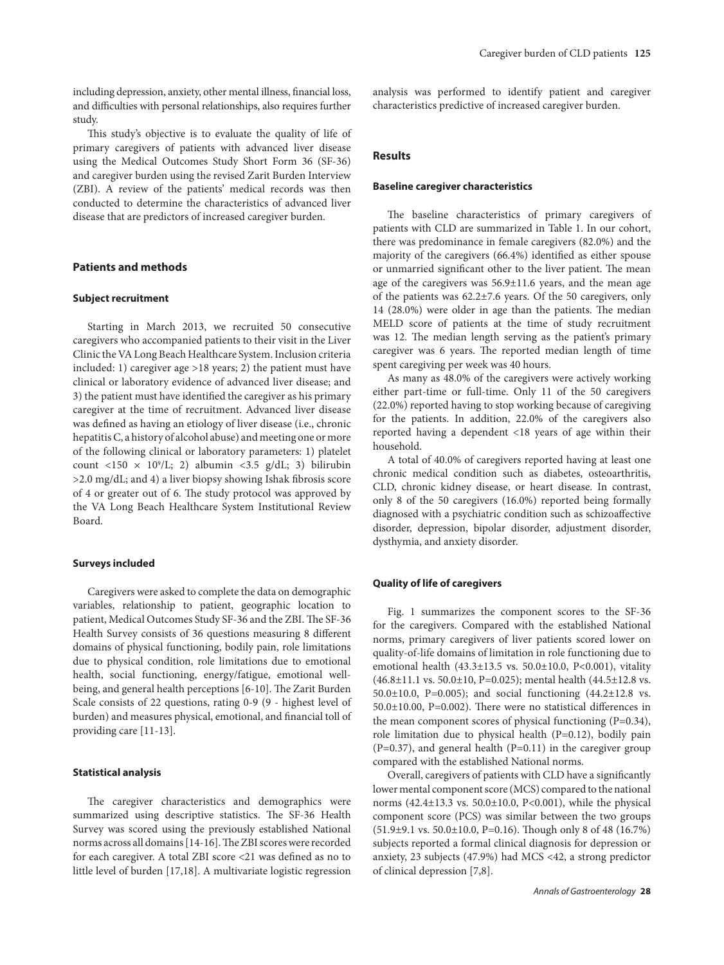including depression, anxiety, other mental illness, financial loss, and difficulties with personal relationships, also requires further study.

This study's objective is to evaluate the quality of life of primary caregivers of patients with advanced liver disease using the Medical Outcomes Study Short Form 36 (SF-36) and caregiver burden using the revised Zarit Burden Interview (ZBI). A review of the patients' medical records was then conducted to determine the characteristics of advanced liver disease that are predictors of increased caregiver burden.

# **Patients and methods**

# **Subject recruitment**

Starting in March 2013, we recruited 50 consecutive caregivers who accompanied patients to their visit in the Liver Clinic the VA Long Beach Healthcare System. Inclusion criteria included: 1) caregiver age >18 years; 2) the patient must have clinical or laboratory evidence of advanced liver disease; and 3) the patient must have identified the caregiver as his primary caregiver at the time of recruitment. Advanced liver disease was defined as having an etiology of liver disease (i.e., chronic hepatitis C, a history of alcohol abuse) and meeting one or more of the following clinical or laboratory parameters: 1) platelet count <150  $\times$  10<sup>9</sup>/L; 2) albumin <3.5  $g/dL$ ; 3) bilirubin >2.0 mg/dL; and 4) a liver biopsy showing Ishak fibrosis score of 4 or greater out of 6. The study protocol was approved by the VA Long Beach Healthcare System Institutional Review Board.

### **Surveys included**

Caregivers were asked to complete the data on demographic variables, relationship to patient, geographic location to patient, Medical Outcomes Study SF-36 and the ZBI. The SF-36 Health Survey consists of 36 questions measuring 8 different domains of physical functioning, bodily pain, role limitations due to physical condition, role limitations due to emotional health, social functioning, energy/fatigue, emotional wellbeing, and general health perceptions [6-10]. The Zarit Burden Scale consists of 22 questions, rating 0-9 (9 - highest level of burden) and measures physical, emotional, and financial toll of providing care [11-13].

# **Statistical analysis**

The caregiver characteristics and demographics were summarized using descriptive statistics. The SF-36 Health Survey was scored using the previously established National norms across all domains [14-16]. The ZBI scores were recorded for each caregiver. A total ZBI score <21 was defined as no to little level of burden [17,18]. A multivariate logistic regression

analysis was performed to identify patient and caregiver characteristics predictive of increased caregiver burden.

# **Results**

#### **Baseline caregiver characteristics**

The baseline characteristics of primary caregivers of patients with CLD are summarized in Table 1. In our cohort, there was predominance in female caregivers (82.0%) and the majority of the caregivers (66.4%) identified as either spouse or unmarried significant other to the liver patient. The mean age of the caregivers was  $56.9 \pm 11.6$  years, and the mean age of the patients was 62.2±7.6 years. Of the 50 caregivers, only 14 (28.0%) were older in age than the patients. The median MELD score of patients at the time of study recruitment was 12. The median length serving as the patient's primary caregiver was 6 years. The reported median length of time spent caregiving per week was 40 hours.

As many as 48.0% of the caregivers were actively working either part-time or full-time. Only 11 of the 50 caregivers (22.0%) reported having to stop working because of caregiving for the patients. In addition, 22.0% of the caregivers also reported having a dependent <18 years of age within their household.

A total of 40.0% of caregivers reported having at least one chronic medical condition such as diabetes, osteoarthritis, CLD, chronic kidney disease, or heart disease. In contrast, only 8 of the 50 caregivers (16.0%) reported being formally diagnosed with a psychiatric condition such as schizoaffective disorder, depression, bipolar disorder, adjustment disorder, dysthymia, and anxiety disorder.

#### **Quality of life of caregivers**

Fig. 1 summarizes the component scores to the SF-36 for the caregivers. Compared with the established National norms, primary caregivers of liver patients scored lower on quality-of-life domains of limitation in role functioning due to emotional health (43.3±13.5 vs. 50.0±10.0, P<0.001), vitality (46.8±11.1 vs. 50.0±10, P=0.025); mental health (44.5±12.8 vs. 50.0±10.0, P=0.005); and social functioning (44.2±12.8 vs. 50.0±10.00, P=0.002). There were no statistical differences in the mean component scores of physical functioning  $(P=0.34)$ , role limitation due to physical health (P=0.12), bodily pain  $(P=0.37)$ , and general health  $(P=0.11)$  in the caregiver group compared with the established National norms.

Overall, caregivers of patients with CLD have a significantly lower mental component score (MCS) compared to the national norms (42.4±13.3 vs. 50.0±10.0, P<0.001), while the physical component score (PCS) was similar between the two groups (51.9±9.1 vs. 50.0±10.0, P=0.16). Though only 8 of 48 (16.7%) subjects reported a formal clinical diagnosis for depression or anxiety, 23 subjects (47.9%) had MCS <42, a strong predictor of clinical depression [7,8].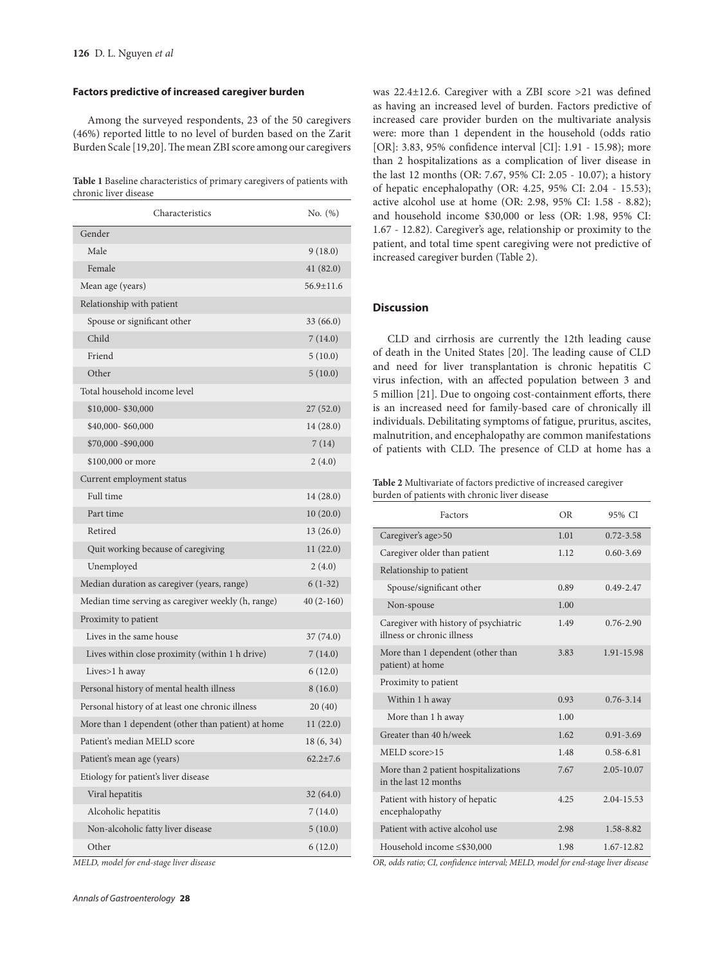### **Factors predictive of increased caregiver burden**

Among the surveyed respondents, 23 of the 50 caregivers (46%) reported little to no level of burden based on the Zarit Burden Scale [19,20]. The mean ZBI score among our caregivers

**Table 1** Baseline characteristics of primary caregivers of patients with chronic liver disease

| Characteristics                                    | No. (%)        |
|----------------------------------------------------|----------------|
| Gender                                             |                |
| Male                                               | 9(18.0)        |
| Female                                             | 41 (82.0)      |
| Mean age (years)                                   | 56.9±11.6      |
| Relationship with patient                          |                |
| Spouse or significant other                        | 33 (66.0)      |
| Child                                              | 7(14.0)        |
| Friend                                             | 5(10.0)        |
| Other                                              | 5(10.0)        |
| Total household income level                       |                |
| \$10,000-\$30,000                                  | 27 (52.0)      |
| \$40,000-\$60,000                                  | 14 (28.0)      |
| \$70,000 - \$90,000                                | 7(14)          |
| \$100,000 or more                                  | 2(4.0)         |
| Current employment status                          |                |
| Full time                                          | 14 (28.0)      |
| Part time                                          | 10(20.0)       |
| Retired                                            | 13(26.0)       |
| Quit working because of caregiving                 | 11(22.0)       |
| Unemployed                                         | 2(4.0)         |
| Median duration as caregiver (years, range)        | $6(1-32)$      |
| Median time serving as caregiver weekly (h, range) | 40 (2-160)     |
| Proximity to patient                               |                |
| Lives in the same house                            | 37 (74.0)      |
| Lives within close proximity (within 1 h drive)    | 7(14.0)        |
| Lives>1 h away                                     | 6(12.0)        |
| Personal history of mental health illness          | 8 (16.0)       |
| Personal history of at least one chronic illness   | 20 (40)        |
| More than 1 dependent (other than patient) at home | 11(22.0)       |
| Patient's median MELD score                        | 18 (6, 34)     |
| Patient's mean age (years)                         | $62.2 \pm 7.6$ |
| Etiology for patient's liver disease               |                |
| Viral hepatitis                                    | 32 (64.0)      |
| Alcoholic hepatitis                                | 7(14.0)        |
| Non-alcoholic fatty liver disease                  | 5(10.0)        |
| Other                                              | 6(12.0)        |

*MELD, model for end-stage liver disease*

*Annals of Gastroenterology* **28**

was 22.4±12.6. Caregiver with a ZBI score >21 was defined as having an increased level of burden. Factors predictive of increased care provider burden on the multivariate analysis were: more than 1 dependent in the household (odds ratio [OR]: 3.83, 95% confidence interval [CI]: 1.91 - 15.98); more than 2 hospitalizations as a complication of liver disease in the last 12 months (OR: 7.67, 95% CI: 2.05 - 10.07); a history of hepatic encephalopathy (OR: 4.25, 95% CI: 2.04 - 15.53); active alcohol use at home (OR: 2.98, 95% CI: 1.58 - 8.82); and household income \$30,000 or less (OR: 1.98, 95% CI: 1.67 - 12.82). Caregiver's age, relationship or proximity to the patient, and total time spent caregiving were not predictive of increased caregiver burden (Table 2).

# **Discussion**

CLD and cirrhosis are currently the 12th leading cause of death in the United States [20]. The leading cause of CLD and need for liver transplantation is chronic hepatitis C virus infection, with an affected population between 3 and 5 million [21]. Due to ongoing cost-containment efforts, there is an increased need for family-based care of chronically ill individuals. Debilitating symptoms of fatigue, pruritus, ascites, malnutrition, and encephalopathy are common manifestations of patients with CLD. The presence of CLD at home has a

**Table 2** Multivariate of factors predictive of increased caregiver burden of patients with chronic liver disease

| Factors                                                             | <b>OR</b> | 95% CI        |
|---------------------------------------------------------------------|-----------|---------------|
| Caregiver's age>50                                                  | 1.01      | $0.72 - 3.58$ |
| Caregiver older than patient                                        | 1.12      | $0.60 - 3.69$ |
| Relationship to patient                                             |           |               |
| Spouse/significant other                                            | 0.89      | $0.49 - 2.47$ |
| Non-spouse                                                          | 1.00      |               |
| Caregiver with history of psychiatric<br>illness or chronic illness | 1.49      | $0.76 - 2.90$ |
| More than 1 dependent (other than<br>patient) at home               | 3.83      | 1.91-15.98    |
| Proximity to patient                                                |           |               |
| Within 1 h away                                                     | 0.93      | $0.76 - 3.14$ |
| More than 1 h away                                                  | 1.00      |               |
| Greater than 40 h/week                                              | 1.62.     | $0.91 - 3.69$ |
| $MELD$ score > 15                                                   | 1.48      | 0.58-6.81     |
| More than 2 patient hospitalizations<br>in the last 12 months       | 7.67      | 2.05-10.07    |
| Patient with history of hepatic<br>encephalopathy                   | 4.25      | 2.04-15.53    |
| Patient with active alcohol use                                     | 2.98      | 1.58-8.82     |
| Household income ≤\$30,000                                          | 1.98      | 1.67-12.82    |

*OR, odds ratio; CI, confidence interval; MELD, model for end-stage liver disease*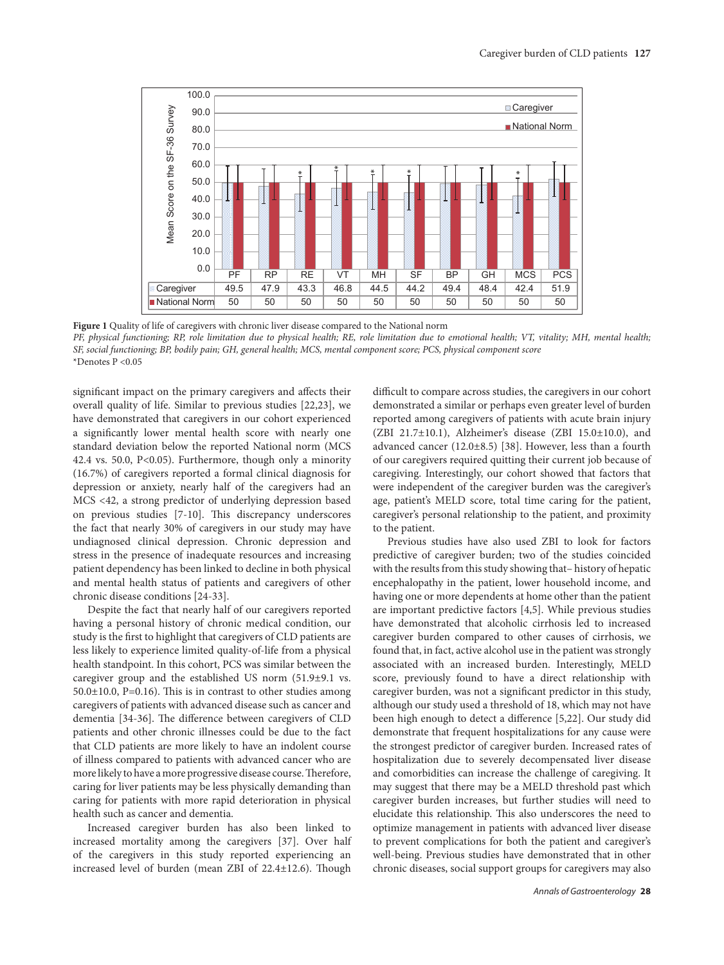

**Figure 1** Quality of life of caregivers with chronic liver disease compared to the National norm

*PF, physical functioning; RP, role limitation due to physical health; RE, role limitation due to emotional health; VT, vitality; MH, mental health; SF, social functioning; BP, bodily pain; GH, general health; MCS, mental component score; PCS, physical component score* \*Denotes P <0.05

significant impact on the primary caregivers and affects their overall quality of life. Similar to previous studies [22,23], we have demonstrated that caregivers in our cohort experienced a significantly lower mental health score with nearly one standard deviation below the reported National norm (MCS 42.4 vs. 50.0,  $P<0.05$ ). Furthermore, though only a minority (16.7%) of caregivers reported a formal clinical diagnosis for depression or anxiety, nearly half of the caregivers had an MCS <42, a strong predictor of underlying depression based on previous studies [7-10]. This discrepancy underscores the fact that nearly 30% of caregivers in our study may have undiagnosed clinical depression. Chronic depression and stress in the presence of inadequate resources and increasing patient dependency has been linked to decline in both physical and mental health status of patients and caregivers of other chronic disease conditions [24-33].

Despite the fact that nearly half of our caregivers reported having a personal history of chronic medical condition, our study is the first to highlight that caregivers of CLD patients are less likely to experience limited quality-of-life from a physical health standpoint. In this cohort, PCS was similar between the caregiver group and the established US norm (51.9±9.1 vs.  $50.0\pm10.0$ , P=0.16). This is in contrast to other studies among caregivers of patients with advanced disease such as cancer and dementia [34-36]. The difference between caregivers of CLD patients and other chronic illnesses could be due to the fact that CLD patients are more likely to have an indolent course of illness compared to patients with advanced cancer who are more likely to have a more progressive disease course. Therefore, caring for liver patients may be less physically demanding than caring for patients with more rapid deterioration in physical health such as cancer and dementia.

Increased caregiver burden has also been linked to increased mortality among the caregivers [37]. Over half of the caregivers in this study reported experiencing an increased level of burden (mean ZBI of 22.4±12.6). Though difficult to compare across studies, the caregivers in our cohort demonstrated a similar or perhaps even greater level of burden reported among caregivers of patients with acute brain injury (ZBI 21.7±10.1), Alzheimer's disease (ZBI 15.0±10.0), and advanced cancer (12.0±8.5) [38]. However, less than a fourth of our caregivers required quitting their current job because of caregiving. Interestingly, our cohort showed that factors that were independent of the caregiver burden was the caregiver's age, patient's MELD score, total time caring for the patient, caregiver's personal relationship to the patient, and proximity to the patient.

Previous studies have also used ZBI to look for factors predictive of caregiver burden; two of the studies coincided with the results from this study showing that– history of hepatic encephalopathy in the patient, lower household income, and having one or more dependents at home other than the patient are important predictive factors [4,5]. While previous studies have demonstrated that alcoholic cirrhosis led to increased caregiver burden compared to other causes of cirrhosis, we found that, in fact, active alcohol use in the patient was strongly associated with an increased burden. Interestingly, MELD score, previously found to have a direct relationship with caregiver burden, was not a significant predictor in this study, although our study used a threshold of 18, which may not have been high enough to detect a difference [5,22]. Our study did demonstrate that frequent hospitalizations for any cause were the strongest predictor of caregiver burden. Increased rates of hospitalization due to severely decompensated liver disease and comorbidities can increase the challenge of caregiving. It may suggest that there may be a MELD threshold past which caregiver burden increases, but further studies will need to elucidate this relationship. This also underscores the need to optimize management in patients with advanced liver disease to prevent complications for both the patient and caregiver's well-being. Previous studies have demonstrated that in other chronic diseases, social support groups for caregivers may also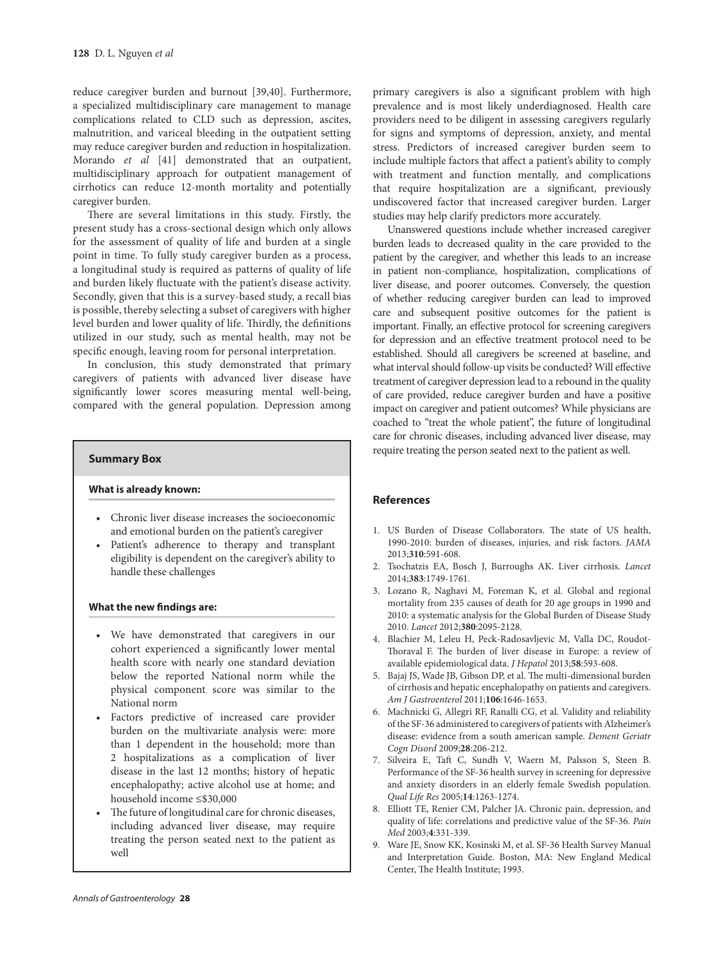reduce caregiver burden and burnout [39,40]. Furthermore, a specialized multidisciplinary care management to manage complications related to CLD such as depression, ascites, malnutrition, and variceal bleeding in the outpatient setting may reduce caregiver burden and reduction in hospitalization. Morando *et al* [41] demonstrated that an outpatient, multidisciplinary approach for outpatient management of cirrhotics can reduce 12-month mortality and potentially caregiver burden.

There are several limitations in this study. Firstly, the present study has a cross-sectional design which only allows for the assessment of quality of life and burden at a single point in time. To fully study caregiver burden as a process, a longitudinal study is required as patterns of quality of life and burden likely fluctuate with the patient's disease activity. Secondly, given that this is a survey-based study, a recall bias is possible, thereby selecting a subset of caregivers with higher level burden and lower quality of life. Thirdly, the definitions utilized in our study, such as mental health, may not be specific enough, leaving room for personal interpretation.

In conclusion, this study demonstrated that primary caregivers of patients with advanced liver disease have significantly lower scores measuring mental well-being, compared with the general population. Depression among

#### **Summary Box**

# **What is already known:**

- • Chronic liver disease increases the socioeconomic and emotional burden on the patient's caregiver
- • Patient's adherence to therapy and transplant eligibility is dependent on the caregiver's ability to handle these challenges

#### **What the new findings are:**

- • We have demonstrated that caregivers in our cohort experienced a significantly lower mental health score with nearly one standard deviation below the reported National norm while the physical component score was similar to the National norm
- • Factors predictive of increased care provider burden on the multivariate analysis were: more than 1 dependent in the household; more than 2 hospitalizations as a complication of liver disease in the last 12 months; history of hepatic encephalopathy; active alcohol use at home; and household income ≤\$30,000
- The future of longitudinal care for chronic diseases, including advanced liver disease, may require treating the person seated next to the patient as well

primary caregivers is also a significant problem with high prevalence and is most likely underdiagnosed. Health care providers need to be diligent in assessing caregivers regularly for signs and symptoms of depression, anxiety, and mental stress. Predictors of increased caregiver burden seem to include multiple factors that affect a patient's ability to comply with treatment and function mentally, and complications that require hospitalization are a significant, previously undiscovered factor that increased caregiver burden. Larger studies may help clarify predictors more accurately.

Unanswered questions include whether increased caregiver burden leads to decreased quality in the care provided to the patient by the caregiver, and whether this leads to an increase in patient non-compliance, hospitalization, complications of liver disease, and poorer outcomes. Conversely, the question of whether reducing caregiver burden can lead to improved care and subsequent positive outcomes for the patient is important. Finally, an effective protocol for screening caregivers for depression and an effective treatment protocol need to be established. Should all caregivers be screened at baseline, and what interval should follow-up visits be conducted? Will effective treatment of caregiver depression lead to a rebound in the quality of care provided, reduce caregiver burden and have a positive impact on caregiver and patient outcomes? While physicians are coached to "treat the whole patient", the future of longitudinal care for chronic diseases, including advanced liver disease, may require treating the person seated next to the patient as well.

# **References**

- 1. US Burden of Disease Collaborators. The state of US health, 1990-2010: burden of diseases, injuries, and risk factors. *JAMA* 2013;**310**:591-608.
- 2. Tsochatzis EA, Bosch J, Burroughs AK. Liver cirrhosis. *Lancet* 2014;**383**:1749-1761.
- 3. Lozano R, Naghavi M, Foreman K, et al*.* Global and regional mortality from 235 causes of death for 20 age groups in 1990 and 2010: a systematic analysis for the Global Burden of Disease Study 2010. *Lancet* 2012;**380**:2095-2128.
- 4. Blachier M, Leleu H, Peck-Radosavljevic M, Valla DC, Roudot-Thoraval F. The burden of liver disease in Europe: a review of available epidemiological data. *J Hepatol* 2013;**58**:593-608.
- 5. Bajaj JS, Wade JB, Gibson DP, et al*.* The multi-dimensional burden of cirrhosis and hepatic encephalopathy on patients and caregivers. *Am J Gastroenterol* 2011;**106**:1646-1653.
- 6. Machnicki G, Allegri RF, Ranalli CG, et al*.* Validity and reliability of the SF-36 administered to caregivers of patients with Alzheimer's disease: evidence from a south american sample. *Dement Geriatr Cogn Disord* 2009;**28**:206-212.
- 7. Silveira E, Taft C, Sundh V, Waern M, Palsson S, Steen B. Performance of the SF-36 health survey in screening for depressive and anxiety disorders in an elderly female Swedish population. *Qual Life Res* 2005;**14**:1263-1274.
- 8. Elliott TE, Renier CM, Palcher JA. Chronic pain, depression, and quality of life: correlations and predictive value of the SF-36. *Pain Med* 2003;**4**:331-339.
- 9. Ware JE, Snow KK, Kosinski M, et al. SF-36 Health Survey Manual and Interpretation Guide. Boston, MA: New England Medical Center, The Health Institute; 1993.